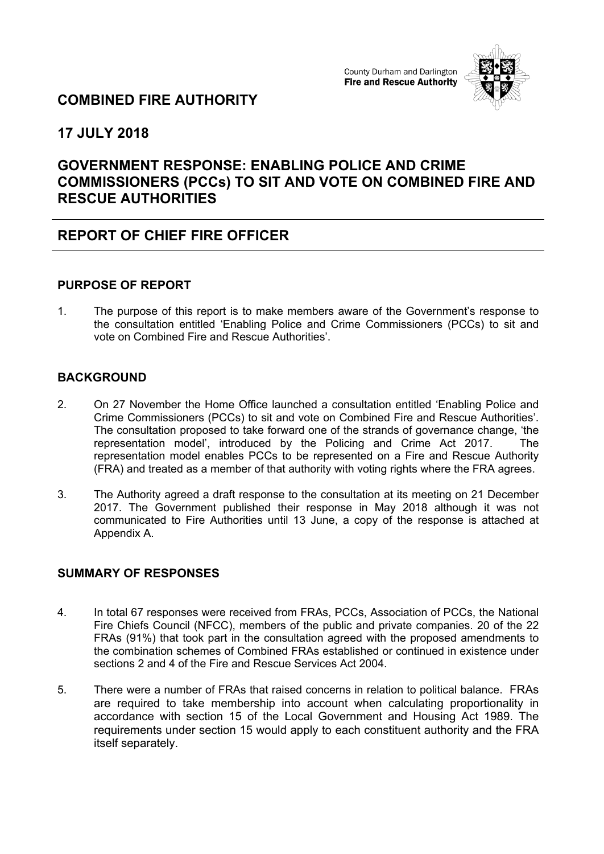

## **COMBINED FIRE AUTHORITY**

**17 JULY 2018**

# **GOVERNMENT RESPONSE: ENABLING POLICE AND CRIME COMMISSIONERS (PCCs) TO SIT AND VOTE ON COMBINED FIRE AND RESCUE AUTHORITIES**

# **REPORT OF CHIEF FIRE OFFICER**

### **PURPOSE OF REPORT**

1. The purpose of this report is to make members aware of the Government's response to the consultation entitled 'Enabling Police and Crime Commissioners (PCCs) to sit and vote on Combined Fire and Rescue Authorities'.

## **BACKGROUND**

- 2. On 27 November the Home Office launched a consultation entitled 'Enabling Police and Crime Commissioners (PCCs) to sit and vote on Combined Fire and Rescue Authorities'. The consultation proposed to take forward one of the strands of governance change, 'the representation model', introduced by the Policing and Crime Act 2017. The representation model enables PCCs to be represented on a Fire and Rescue Authority (FRA) and treated as a member of that authority with voting rights where the FRA agrees.
- 3. The Authority agreed a draft response to the consultation at its meeting on 21 December 2017. The Government published their response in May 2018 although it was not communicated to Fire Authorities until 13 June, a copy of the response is attached at Appendix A.

## **SUMMARY OF RESPONSES**

- 4. In total 67 responses were received from FRAs, PCCs, Association of PCCs, the National Fire Chiefs Council (NFCC), members of the public and private companies. 20 of the 22 FRAs (91%) that took part in the consultation agreed with the proposed amendments to the combination schemes of Combined FRAs established or continued in existence under sections 2 and 4 of the Fire and Rescue Services Act 2004.
- 5. There were a number of FRAs that raised concerns in relation to political balance. FRAs are required to take membership into account when calculating proportionality in accordance with section 15 of the Local Government and Housing Act 1989. The requirements under section 15 would apply to each constituent authority and the FRA itself separately.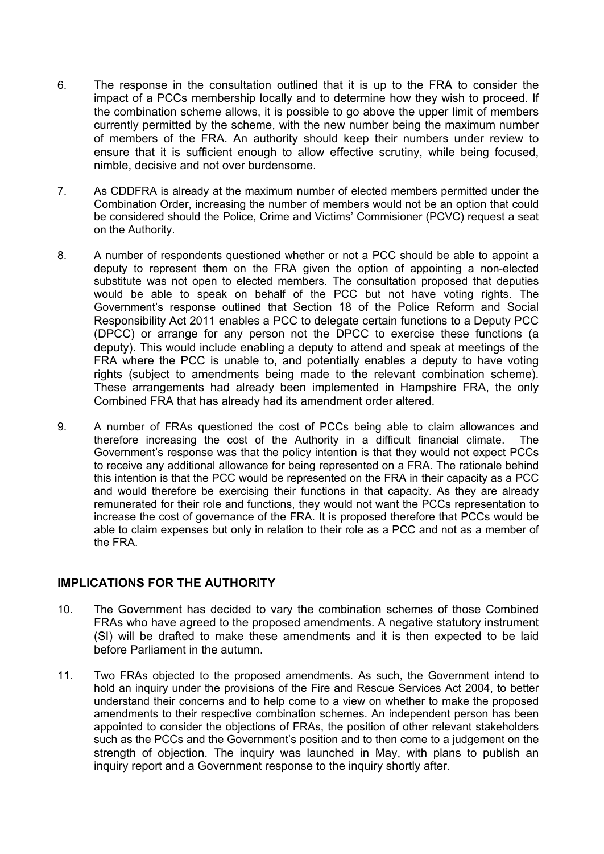- 6. The response in the consultation outlined that it is up to the FRA to consider the impact of a PCCs membership locally and to determine how they wish to proceed. If the combination scheme allows, it is possible to go above the upper limit of members currently permitted by the scheme, with the new number being the maximum number of members of the FRA. An authority should keep their numbers under review to ensure that it is sufficient enough to allow effective scrutiny, while being focused, nimble, decisive and not over burdensome.
- 7. As CDDFRA is already at the maximum number of elected members permitted under the Combination Order, increasing the number of members would not be an option that could be considered should the Police, Crime and Victims' Commisioner (PCVC) request a seat on the Authority.
- 8. A number of respondents questioned whether or not a PCC should be able to appoint a deputy to represent them on the FRA given the option of appointing a non-elected substitute was not open to elected members. The consultation proposed that deputies would be able to speak on behalf of the PCC but not have voting rights. The Government's response outlined that Section 18 of the Police Reform and Social Responsibility Act 2011 enables a PCC to delegate certain functions to a Deputy PCC (DPCC) or arrange for any person not the DPCC to exercise these functions (a deputy). This would include enabling a deputy to attend and speak at meetings of the FRA where the PCC is unable to, and potentially enables a deputy to have voting rights (subject to amendments being made to the relevant combination scheme). These arrangements had already been implemented in Hampshire FRA, the only Combined FRA that has already had its amendment order altered.
- 9. A number of FRAs questioned the cost of PCCs being able to claim allowances and therefore increasing the cost of the Authority in a difficult financial climate. The Government's response was that the policy intention is that they would not expect PCCs to receive any additional allowance for being represented on a FRA. The rationale behind this intention is that the PCC would be represented on the FRA in their capacity as a PCC and would therefore be exercising their functions in that capacity. As they are already remunerated for their role and functions, they would not want the PCCs representation to increase the cost of governance of the FRA. It is proposed therefore that PCCs would be able to claim expenses but only in relation to their role as a PCC and not as a member of the FRA.

#### **IMPLICATIONS FOR THE AUTHORITY**

- 10. The Government has decided to vary the combination schemes of those Combined FRAs who have agreed to the proposed amendments. A negative statutory instrument (SI) will be drafted to make these amendments and it is then expected to be laid before Parliament in the autumn.
- 11. Two FRAs objected to the proposed amendments. As such, the Government intend to hold an inquiry under the provisions of the Fire and Rescue Services Act 2004, to better understand their concerns and to help come to a view on whether to make the proposed amendments to their respective combination schemes. An independent person has been appointed to consider the objections of FRAs, the position of other relevant stakeholders such as the PCCs and the Government's position and to then come to a judgement on the strength of objection. The inquiry was launched in May, with plans to publish an inquiry report and a Government response to the inquiry shortly after.